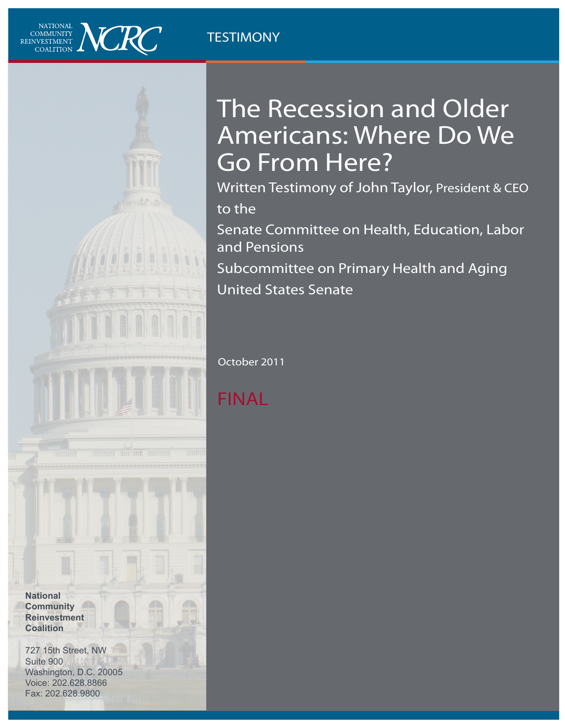### **TESTIMONY**



# The Recession and Older Americans: Where Do We Go From Here?

Written Testimony of John Taylor, President & CEO to the

Senate Committee on Health, Education, Labor and Pensions Subcommittee on Primary Health and Aging

United States Senate

October 2011

## FINAL

**National Community Reinvestment Coalition**

727 15th Street, NW Suite 900 Washington, D.C. 20005 Voice: 202.628.8866 Fax: 202.628.9800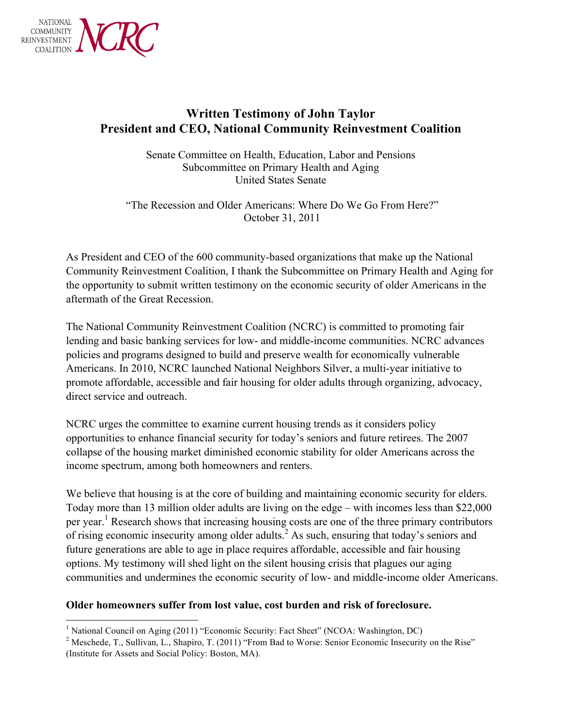

### **Written Testimony of John Taylor President and CEO, National Community Reinvestment Coalition**

Senate Committee on Health, Education, Labor and Pensions Subcommittee on Primary Health and Aging United States Senate

"The Recession and Older Americans: Where Do We Go From Here?" October 31, 2011

As President and CEO of the 600 community-based organizations that make up the National Community Reinvestment Coalition, I thank the Subcommittee on Primary Health and Aging for the opportunity to submit written testimony on the economic security of older Americans in the aftermath of the Great Recession.

The National Community Reinvestment Coalition (NCRC) is committed to promoting fair lending and basic banking services for low- and middle-income communities. NCRC advances policies and programs designed to build and preserve wealth for economically vulnerable Americans. In 2010, NCRC launched National Neighbors Silver, a multi-year initiative to promote affordable, accessible and fair housing for older adults through organizing, advocacy, direct service and outreach.

NCRC urges the committee to examine current housing trends as it considers policy opportunities to enhance financial security for today's seniors and future retirees. The 2007 collapse of the housing market diminished economic stability for older Americans across the income spectrum, among both homeowners and renters.

We believe that housing is at the core of building and maintaining economic security for elders. Today more than 13 million older adults are living on the edge – with incomes less than \$22,000 per year.<sup>1</sup> Research shows that increasing housing costs are one of the three primary contributors of rising economic insecurity among older adults.<sup>2</sup> As such, ensuring that today's seniors and future generations are able to age in place requires affordable, accessible and fair housing options. My testimony will shed light on the silent housing crisis that plagues our aging communities and undermines the economic security of low- and middle-income older Americans.

#### **Older homeowners suffer from lost value, cost burden and risk of foreclosure.**

<sup>&</sup>lt;sup>1</sup> National Council on Aging (2011) "Economic Security: Fact Sheet" (NCOA: Washington, DC)

<sup>&</sup>lt;sup>2</sup> Meschede, T., Sullivan, L., Shapiro, T. (2011) "From Bad to Worse: Senior Economic Insecurity on the Rise" (Institute for Assets and Social Policy: Boston, MA).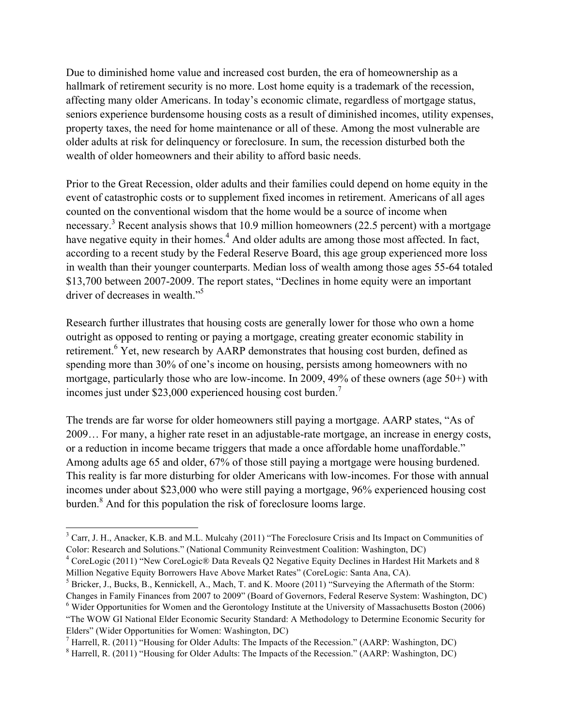Due to diminished home value and increased cost burden, the era of homeownership as a hallmark of retirement security is no more. Lost home equity is a trademark of the recession, affecting many older Americans. In today's economic climate, regardless of mortgage status, seniors experience burdensome housing costs as a result of diminished incomes, utility expenses, property taxes, the need for home maintenance or all of these. Among the most vulnerable are older adults at risk for delinquency or foreclosure. In sum, the recession disturbed both the wealth of older homeowners and their ability to afford basic needs.

Prior to the Great Recession, older adults and their families could depend on home equity in the event of catastrophic costs or to supplement fixed incomes in retirement. Americans of all ages counted on the conventional wisdom that the home would be a source of income when necessary.<sup>3</sup> Recent analysis shows that 10.9 million homeowners (22.5 percent) with a mortgage have negative equity in their homes.<sup>4</sup> And older adults are among those most affected. In fact, according to a recent study by the Federal Reserve Board, this age group experienced more loss in wealth than their younger counterparts. Median loss of wealth among those ages 55-64 totaled \$13,700 between 2007-2009. The report states, "Declines in home equity were an important driver of decreases in wealth."<sup>5</sup>

Research further illustrates that housing costs are generally lower for those who own a home outright as opposed to renting or paying a mortgage, creating greater economic stability in retirement.<sup>6</sup> Yet, new research by AARP demonstrates that housing cost burden, defined as spending more than 30% of one's income on housing, persists among homeowners with no mortgage, particularly those who are low-income. In 2009, 49% of these owners (age 50+) with incomes just under \$23,000 experienced housing cost burden.<sup>7</sup>

The trends are far worse for older homeowners still paying a mortgage. AARP states, "As of 2009… For many, a higher rate reset in an adjustable-rate mortgage, an increase in energy costs, or a reduction in income became triggers that made a once affordable home unaffordable." Among adults age 65 and older, 67% of those still paying a mortgage were housing burdened. This reality is far more disturbing for older Americans with low-incomes. For those with annual incomes under about \$23,000 who were still paying a mortgage, 96% experienced housing cost burden.8 And for this population the risk of foreclosure looms large.

<sup>&</sup>lt;sup>3</sup> Carr, J. H., Anacker, K.B. and M.L. Mulcahy (2011) "The Foreclosure Crisis and Its Impact on Communities of Color: Research and Solutions." (National Community Reinvestment Coalition: Washington, DC)

<sup>4</sup> CoreLogic (2011) "New CoreLogic® Data Reveals Q2 Negative Equity Declines in Hardest Hit Markets and 8 Million Negative Equity Borrowers Have Above Market Rates" (CoreLogic: Santa Ana, CA).<br><sup>5</sup> Bricker, J., Bucks, B., Kennickell, A., Mach, T. and K. Moore (2011) "Surveying the Aftermath of the Storm:

Changes in Family Finances from 2007 to 2009" (Board of Governors, Federal Reserve System: Washington, DC) <sup>6</sup> Wider Opportunities for Women and the Gerontology Institute at the University of Massachusetts Boston (2006)

<sup>&</sup>quot;The WOW GI National Elder Economic Security Standard: A Methodology to Determine Economic Security for Elders" (Wider Opportunities for Women: Washington, DC)

<sup>7</sup> Harrell, R. (2011) "Housing for Older Adults: The Impacts of the Recession." (AARP: Washington, DC)

<sup>8</sup> Harrell, R. (2011) "Housing for Older Adults: The Impacts of the Recession." (AARP: Washington, DC)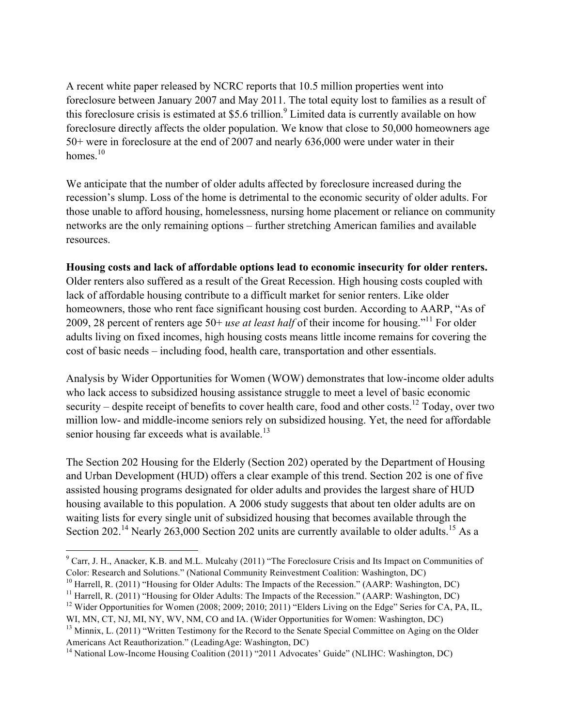A recent white paper released by NCRC reports that 10.5 million properties went into foreclosure between January 2007 and May 2011. The total equity lost to families as a result of this foreclosure crisis is estimated at \$5.6 trillion.<sup>9</sup> Limited data is currently available on how foreclosure directly affects the older population. We know that close to 50,000 homeowners age 50+ were in foreclosure at the end of 2007 and nearly 636,000 were under water in their homes.<sup>10</sup>

We anticipate that the number of older adults affected by foreclosure increased during the recession's slump. Loss of the home is detrimental to the economic security of older adults. For those unable to afford housing, homelessness, nursing home placement or reliance on community networks are the only remaining options – further stretching American families and available resources.

#### **Housing costs and lack of affordable options lead to economic insecurity for older renters.**

Older renters also suffered as a result of the Great Recession. High housing costs coupled with lack of affordable housing contribute to a difficult market for senior renters. Like older homeowners, those who rent face significant housing cost burden. According to AARP, "As of 2009, 28 percent of renters age 50+ *use at least half* of their income for housing."11 For older adults living on fixed incomes, high housing costs means little income remains for covering the cost of basic needs – including food, health care, transportation and other essentials.

Analysis by Wider Opportunities for Women (WOW) demonstrates that low-income older adults who lack access to subsidized housing assistance struggle to meet a level of basic economic security – despite receipt of benefits to cover health care, food and other costs.<sup>12</sup> Today, over two million low- and middle-income seniors rely on subsidized housing. Yet, the need for affordable senior housing far exceeds what is available.<sup>13</sup>

The Section 202 Housing for the Elderly (Section 202) operated by the Department of Housing and Urban Development (HUD) offers a clear example of this trend. Section 202 is one of five assisted housing programs designated for older adults and provides the largest share of HUD housing available to this population. A 2006 study suggests that about ten older adults are on waiting lists for every single unit of subsidized housing that becomes available through the Section 202.<sup>14</sup> Nearly 263,000 Section 202 units are currently available to older adults.<sup>15</sup> As a

<sup>10</sup> Harrell, R. (2011) "Housing for Older Adults: The Impacts of the Recession." (AARP: Washington, DC)

 $^9$  Carr, J. H., Anacker, K.B. and M.L. Mulcahy (2011) "The Foreclosure Crisis and Its Impact on Communities of Color: Research and Solutions." (National Community Reinvestment Coalition: Washington, DC)

<sup>&</sup>lt;sup>11</sup> Harrell, R. (2011) "Housing for Older Adults: The Impacts of the Recession." (AARP: Washington, DC)

<sup>&</sup>lt;sup>12</sup> Wider Opportunities for Women (2008; 2009; 2010; 2011) "Elders Living on the Edge" Series for CA, PA, IL, WI, MN, CT, NJ, MI, NY, WV, NM, CO and IA. (Wider Opportunities for Women: Washington, DC)

<sup>&</sup>lt;sup>13</sup> Minnix, L. (2011) "Written Testimony for the Record to the Senate Special Committee on Aging on the Older Americans Act Reauthorization." (LeadingAge: Washington, DC)

<sup>&</sup>lt;sup>14</sup> National Low-Income Housing Coalition (2011) "2011 Advocates' Guide" (NLIHC: Washington, DC)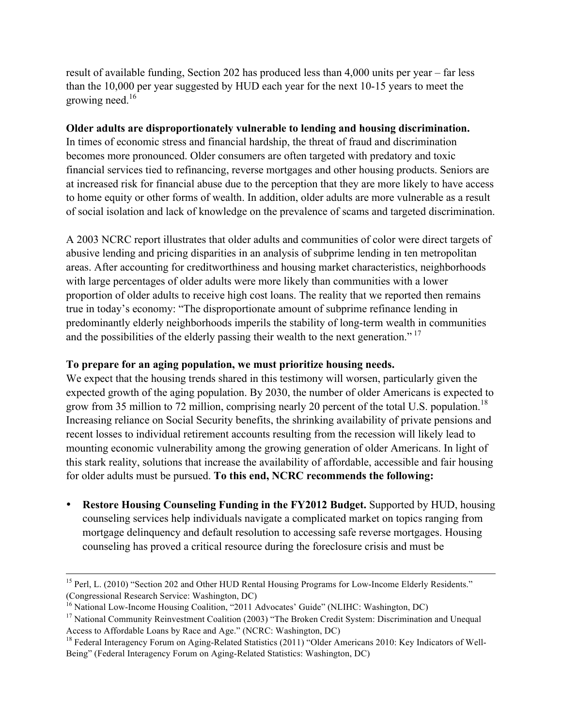result of available funding, Section 202 has produced less than 4,000 units per year – far less than the 10,000 per year suggested by HUD each year for the next 10-15 years to meet the growing need. $16$ 

#### **Older adults are disproportionately vulnerable to lending and housing discrimination.**

In times of economic stress and financial hardship, the threat of fraud and discrimination becomes more pronounced. Older consumers are often targeted with predatory and toxic financial services tied to refinancing, reverse mortgages and other housing products. Seniors are at increased risk for financial abuse due to the perception that they are more likely to have access to home equity or other forms of wealth. In addition, older adults are more vulnerable as a result of social isolation and lack of knowledge on the prevalence of scams and targeted discrimination.

A 2003 NCRC report illustrates that older adults and communities of color were direct targets of abusive lending and pricing disparities in an analysis of subprime lending in ten metropolitan areas. After accounting for creditworthiness and housing market characteristics, neighborhoods with large percentages of older adults were more likely than communities with a lower proportion of older adults to receive high cost loans. The reality that we reported then remains true in today's economy: "The disproportionate amount of subprime refinance lending in predominantly elderly neighborhoods imperils the stability of long-term wealth in communities and the possibilities of the elderly passing their wealth to the next generation."<sup>17</sup>

#### **To prepare for an aging population, we must prioritize housing needs.**

We expect that the housing trends shared in this testimony will worsen, particularly given the expected growth of the aging population. By 2030, the number of older Americans is expected to grow from 35 million to 72 million, comprising nearly 20 percent of the total U.S. population.<sup>18</sup> Increasing reliance on Social Security benefits, the shrinking availability of private pensions and recent losses to individual retirement accounts resulting from the recession will likely lead to mounting economic vulnerability among the growing generation of older Americans. In light of this stark reality, solutions that increase the availability of affordable, accessible and fair housing for older adults must be pursued. **To this end, NCRC recommends the following:**

• **Restore Housing Counseling Funding in the FY2012 Budget.** Supported by HUD, housing counseling services help individuals navigate a complicated market on topics ranging from mortgage delinquency and default resolution to accessing safe reverse mortgages. Housing counseling has proved a critical resource during the foreclosure crisis and must be

<sup>&</sup>lt;sup>15</sup> Perl, L. (2010) "Section 202 and Other HUD Rental Housing Programs for Low-Income Elderly Residents." (Congressional Research Service: Washington, DC)

<sup>&</sup>lt;sup>16</sup> National Low-Income Housing Coalition, "2011 Advocates' Guide" (NLIHC: Washington, DC)

<sup>&</sup>lt;sup>17</sup> National Community Reinvestment Coalition (2003) "The Broken Credit System: Discrimination and Unequal Access to Affordable Loans by Race and Age." (NCRC: Washington, DC)

<sup>&</sup>lt;sup>18</sup> Federal Interagency Forum on Aging-Related Statistics (2011) "Older Americans 2010: Key Indicators of Well-Being" (Federal Interagency Forum on Aging-Related Statistics: Washington, DC)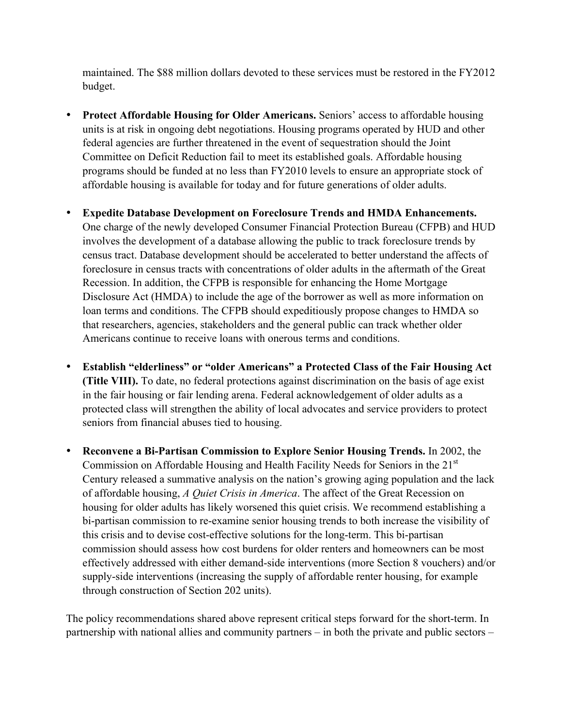maintained. The \$88 million dollars devoted to these services must be restored in the FY2012 budget.

- **Protect Affordable Housing for Older Americans.** Seniors' access to affordable housing units is at risk in ongoing debt negotiations. Housing programs operated by HUD and other federal agencies are further threatened in the event of sequestration should the Joint Committee on Deficit Reduction fail to meet its established goals. Affordable housing programs should be funded at no less than FY2010 levels to ensure an appropriate stock of affordable housing is available for today and for future generations of older adults.
- **Expedite Database Development on Foreclosure Trends and HMDA Enhancements.** One charge of the newly developed Consumer Financial Protection Bureau (CFPB) and HUD involves the development of a database allowing the public to track foreclosure trends by census tract. Database development should be accelerated to better understand the affects of foreclosure in census tracts with concentrations of older adults in the aftermath of the Great Recession. In addition, the CFPB is responsible for enhancing the Home Mortgage Disclosure Act (HMDA) to include the age of the borrower as well as more information on loan terms and conditions. The CFPB should expeditiously propose changes to HMDA so that researchers, agencies, stakeholders and the general public can track whether older Americans continue to receive loans with onerous terms and conditions.
- **Establish "elderliness" or "older Americans" a Protected Class of the Fair Housing Act (Title VIII).** To date, no federal protections against discrimination on the basis of age exist in the fair housing or fair lending arena. Federal acknowledgement of older adults as a protected class will strengthen the ability of local advocates and service providers to protect seniors from financial abuses tied to housing.
- **Reconvene a Bi-Partisan Commission to Explore Senior Housing Trends.** In 2002, the Commission on Affordable Housing and Health Facility Needs for Seniors in the 21<sup>st</sup> Century released a summative analysis on the nation's growing aging population and the lack of affordable housing, *A Quiet Crisis in America*. The affect of the Great Recession on housing for older adults has likely worsened this quiet crisis. We recommend establishing a bi-partisan commission to re-examine senior housing trends to both increase the visibility of this crisis and to devise cost-effective solutions for the long-term. This bi-partisan commission should assess how cost burdens for older renters and homeowners can be most effectively addressed with either demand-side interventions (more Section 8 vouchers) and/or supply-side interventions (increasing the supply of affordable renter housing, for example through construction of Section 202 units).

The policy recommendations shared above represent critical steps forward for the short-term. In partnership with national allies and community partners – in both the private and public sectors –